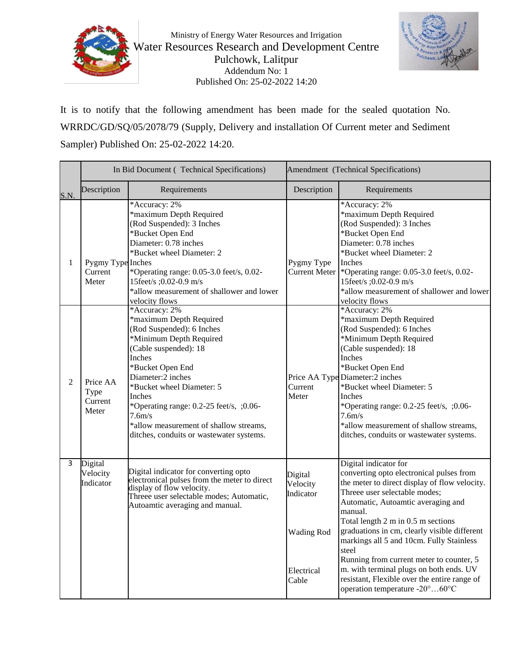



It is to notify that the following amendment has been made for the sealed quotation No. WRRDC/GD/SQ/05/2078/79 (Supply, Delivery and installation Of Current meter and Sediment Sampler) Published On: 25-02-2022 14:20.

|                | In Bid Document (Technical Specifications) |                                                                                                                                                                                                                                                                                                                                                                | Amendment (Technical Specifications)                  |                                                                                                                                                                                                                                                                                                                                                                                             |
|----------------|--------------------------------------------|----------------------------------------------------------------------------------------------------------------------------------------------------------------------------------------------------------------------------------------------------------------------------------------------------------------------------------------------------------------|-------------------------------------------------------|---------------------------------------------------------------------------------------------------------------------------------------------------------------------------------------------------------------------------------------------------------------------------------------------------------------------------------------------------------------------------------------------|
| S.N.           | Description                                | Requirements                                                                                                                                                                                                                                                                                                                                                   | Description                                           | Requirements                                                                                                                                                                                                                                                                                                                                                                                |
| 1              | Pygmy Type Inches                          | *Accuracy: 2%<br>*maximum Depth Required<br>(Rod Suspended): 3 Inches<br>*Bucket Open End<br>Diameter: 0.78 inches<br>*Bucket wheel Diameter: 2                                                                                                                                                                                                                | Pygmy Type                                            | *Accuracy: 2%<br>*maximum Depth Required<br>(Rod Suspended): 3 Inches<br>*Bucket Open End<br>Diameter: 0.78 inches<br>*Bucket wheel Diameter: 2<br>Inches                                                                                                                                                                                                                                   |
|                | Current<br>Meter                           | *Operating range: 0.05-3.0 feet/s, 0.02-<br>15feet/s ;0.02-0.9 m/s<br>*allow measurement of shallower and lower<br>velocity flows                                                                                                                                                                                                                              | Current Meter                                         | *Operating range: 0.05-3.0 feet/s, 0.02-<br>15feet/s ;0.02-0.9 m/s<br>*allow measurement of shallower and lower<br>velocity flows                                                                                                                                                                                                                                                           |
| $\mathfrak{D}$ | Price AA<br>Type<br>Current<br>Meter       | *Accuracy: 2%<br>*maximum Depth Required<br>(Rod Suspended): 6 Inches<br>*Minimum Depth Required<br>(Cable suspended): 18<br>Inches<br>*Bucket Open End<br>Diameter:2 inches<br>*Bucket wheel Diameter: 5<br>Inches<br>*Operating range: 0.2-25 feet/s, ;0.06-<br>7.6m/s<br>*allow measurement of shallow streams,<br>ditches, conduits or wastewater systems. | Current<br>Meter                                      | *Accuracy: 2%<br>*maximum Depth Required<br>(Rod Suspended): 6 Inches<br>*Minimum Depth Required<br>(Cable suspended): 18<br>Inches<br>*Bucket Open End<br>Price AA Type Diameter:2 inches<br>*Bucket wheel Diameter: 5<br>Inches<br>*Operating range: 0.2-25 feet/s, ;0.06-<br>7.6m/s<br>*allow measurement of shallow streams,<br>ditches, conduits or wastewater systems.                |
| 3              | Digital<br>Velocity<br>Indicator           | Digital indicator for converting opto<br>electronical pulses from the meter to direct<br>display of flow velocity.<br>Threee user selectable modes; Automatic,<br>Autoamtic averaging and manual.                                                                                                                                                              | Digital<br>Velocity<br>Indicator<br><b>Wading Rod</b> | Digital indicator for<br>converting opto electronical pulses from<br>the meter to direct display of flow velocity.<br>Threee user selectable modes;<br>Automatic, Autoamtic averaging and<br>manual.<br>Total length 2 m in 0.5 m sections<br>graduations in cm, clearly visible different<br>markings all 5 and 10cm. Fully Stainless<br>steel<br>Running from current meter to counter, 5 |
|                |                                            |                                                                                                                                                                                                                                                                                                                                                                | Electrical<br>Cable                                   | m. with terminal plugs on both ends. UV<br>resistant, Flexible over the entire range of<br>operation temperature -20°60°C                                                                                                                                                                                                                                                                   |